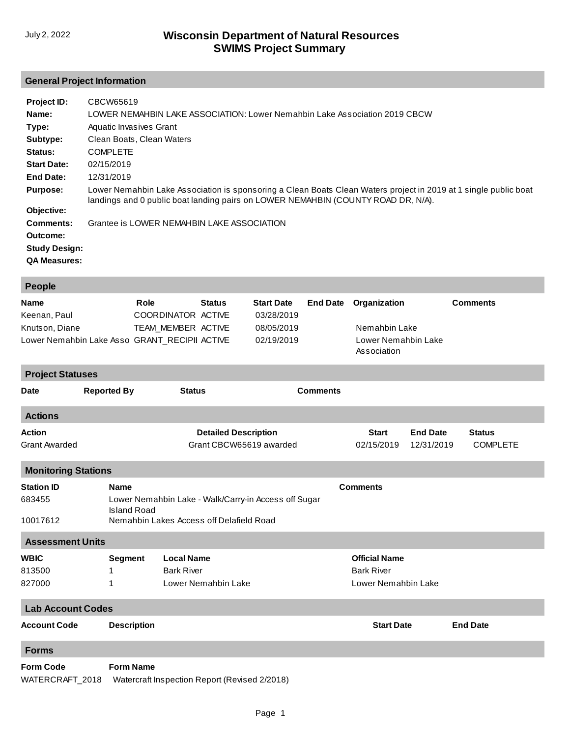# **General Project Information**

| Project ID:<br>Name: | CBCW65619<br>LOWER NEMAHBIN LAKE ASSOCIATION: Lower Nemahbin Lake Association 2019 CBCW                                                                                                               |
|----------------------|-------------------------------------------------------------------------------------------------------------------------------------------------------------------------------------------------------|
| Type:                | Aquatic Invasives Grant                                                                                                                                                                               |
| Subtype:             | Clean Boats, Clean Waters                                                                                                                                                                             |
| Status:              | <b>COMPLETE</b>                                                                                                                                                                                       |
| <b>Start Date:</b>   | 02/15/2019                                                                                                                                                                                            |
| End Date:            | 12/31/2019                                                                                                                                                                                            |
| <b>Purpose:</b>      | Lower Nemahbin Lake Association is sponsoring a Clean Boats Clean Waters project in 2019 at 1 single public boat<br>landings and 0 public boat landing pairs on LOWER NEMAHBIN (COUNTY ROAD DR, N/A). |
| Objective:           |                                                                                                                                                                                                       |
| Comments:            | Grantee is LOWER NEMAHBIN LAKE ASSOCIATION                                                                                                                                                            |
| Outcome:             |                                                                                                                                                                                                       |
| <b>Study Design:</b> |                                                                                                                                                                                                       |
| <b>QA Measures:</b>  |                                                                                                                                                                                                       |

| People                                                                                                   |                    |                                                                                                                                                   |                                                                                                                          |  |                 |                                                                     |                               |                 |                                  |  |
|----------------------------------------------------------------------------------------------------------|--------------------|---------------------------------------------------------------------------------------------------------------------------------------------------|--------------------------------------------------------------------------------------------------------------------------|--|-----------------|---------------------------------------------------------------------|-------------------------------|-----------------|----------------------------------|--|
| Role<br><b>Name</b><br>Keenan, Paul<br>Knutson, Diane<br>Lower Nemahbin Lake Asso GRANT_RECIPII ACTIVE   |                    |                                                                                                                                                   | <b>Start Date</b><br><b>Status</b><br>COORDINATOR ACTIVE<br>03/28/2019<br>TEAM MEMBER ACTIVE<br>08/05/2019<br>02/19/2019 |  | <b>End Date</b> | Organization<br>Nemahbin Lake<br>Lower Nemahbin Lake<br>Association |                               | <b>Comments</b> |                                  |  |
| <b>Project Statuses</b>                                                                                  |                    |                                                                                                                                                   |                                                                                                                          |  |                 |                                                                     |                               |                 |                                  |  |
| Date                                                                                                     | <b>Reported By</b> | <b>Status</b>                                                                                                                                     |                                                                                                                          |  | <b>Comments</b> |                                                                     |                               |                 |                                  |  |
| <b>Actions</b>                                                                                           |                    |                                                                                                                                                   |                                                                                                                          |  |                 |                                                                     |                               |                 |                                  |  |
| <b>Action</b><br><b>Grant Awarded</b>                                                                    |                    | <b>Detailed Description</b><br>Grant CBCW65619 awarded                                                                                            |                                                                                                                          |  |                 | <b>Start</b><br>02/15/2019                                          | <b>End Date</b><br>12/31/2019 |                 | <b>Status</b><br><b>COMPLETE</b> |  |
| <b>Monitoring Stations</b>                                                                               |                    |                                                                                                                                                   |                                                                                                                          |  |                 |                                                                     |                               |                 |                                  |  |
| <b>Station ID</b><br>683455<br>10017612                                                                  |                    | <b>Comments</b><br><b>Name</b><br>Lower Nemahbin Lake - Walk/Carry-in Access off Sugar<br>Island Road<br>Nemahbin Lakes Access off Delafield Road |                                                                                                                          |  |                 |                                                                     |                               |                 |                                  |  |
| <b>Assessment Units</b>                                                                                  |                    |                                                                                                                                                   |                                                                                                                          |  |                 |                                                                     |                               |                 |                                  |  |
| <b>WBIC</b><br>813500<br>827000                                                                          | 1<br>1             | <b>Local Name</b><br><b>Segment</b><br><b>Bark River</b><br>Lower Nemahbin Lake                                                                   |                                                                                                                          |  |                 | <b>Official Name</b><br><b>Bark River</b><br>Lower Nemahbin Lake    |                               |                 |                                  |  |
| <b>Lab Account Codes</b>                                                                                 |                    |                                                                                                                                                   |                                                                                                                          |  |                 |                                                                     |                               |                 |                                  |  |
| <b>Account Code</b>                                                                                      | <b>Description</b> |                                                                                                                                                   |                                                                                                                          |  |                 | <b>Start Date</b>                                                   |                               | <b>End Date</b> |                                  |  |
| <b>Forms</b>                                                                                             |                    |                                                                                                                                                   |                                                                                                                          |  |                 |                                                                     |                               |                 |                                  |  |
| <b>Form Name</b><br><b>Form Code</b><br>WATERCRAFT_2018<br>Watercraft Inspection Report (Revised 2/2018) |                    |                                                                                                                                                   |                                                                                                                          |  |                 |                                                                     |                               |                 |                                  |  |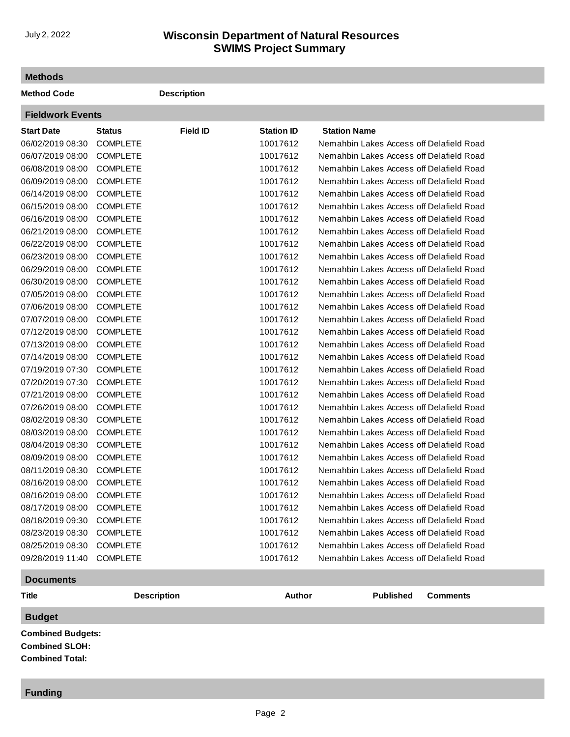# **SWIMS Project Summary** July 2, 2022 **Wisconsin Department of Natural Resources**

#### **Methods**

**Method Code Description Fieldwork Events**

| <b>FIEIDWORK EVENTS</b> |                 |                 |                   |                                          |
|-------------------------|-----------------|-----------------|-------------------|------------------------------------------|
| <b>Start Date</b>       | <b>Status</b>   | <b>Field ID</b> | <b>Station ID</b> | <b>Station Name</b>                      |
| 06/02/2019 08:30        | <b>COMPLETE</b> |                 | 10017612          | Nemahbin Lakes Access off Delafield Road |
| 06/07/2019 08:00        | <b>COMPLETE</b> |                 | 10017612          | Nemahbin Lakes Access off Delafield Road |
| 06/08/2019 08:00        | <b>COMPLETE</b> |                 | 10017612          | Nemahbin Lakes Access off Delafield Road |
| 06/09/2019 08:00        | <b>COMPLETE</b> |                 | 10017612          | Nemahbin Lakes Access off Delafield Road |
| 06/14/2019 08:00        | <b>COMPLETE</b> |                 | 10017612          | Nemahbin Lakes Access off Delafield Road |
| 06/15/2019 08:00        | <b>COMPLETE</b> |                 | 10017612          | Nemahbin Lakes Access off Delafield Road |
| 06/16/2019 08:00        | <b>COMPLETE</b> |                 | 10017612          | Nemahbin Lakes Access off Delafield Road |
| 06/21/2019 08:00        | <b>COMPLETE</b> |                 | 10017612          | Nemahbin Lakes Access off Delafield Road |
| 06/22/2019 08:00        | <b>COMPLETE</b> |                 | 10017612          | Nemahbin Lakes Access off Delafield Road |
| 06/23/2019 08:00        | <b>COMPLETE</b> |                 | 10017612          | Nemahbin Lakes Access off Delafield Road |
| 06/29/2019 08:00        | <b>COMPLETE</b> |                 | 10017612          | Nemahbin Lakes Access off Delafield Road |
| 06/30/2019 08:00        | <b>COMPLETE</b> |                 | 10017612          | Nemahbin Lakes Access off Delafield Road |
| 07/05/2019 08:00        | <b>COMPLETE</b> |                 | 10017612          | Nemahbin Lakes Access off Delafield Road |
| 07/06/2019 08:00        | <b>COMPLETE</b> |                 | 10017612          | Nemahbin Lakes Access off Delafield Road |
| 07/07/2019 08:00        | <b>COMPLETE</b> |                 | 10017612          | Nemahbin Lakes Access off Delafield Road |
| 07/12/2019 08:00        | <b>COMPLETE</b> |                 | 10017612          | Nemahbin Lakes Access off Delafield Road |
| 07/13/2019 08:00        | <b>COMPLETE</b> |                 | 10017612          | Nemahbin Lakes Access off Delafield Road |
| 07/14/2019 08:00        | <b>COMPLETE</b> |                 | 10017612          | Nemahbin Lakes Access off Delafield Road |
| 07/19/2019 07:30        | <b>COMPLETE</b> |                 | 10017612          | Nemahbin Lakes Access off Delafield Road |
| 07/20/2019 07:30        | <b>COMPLETE</b> |                 | 10017612          | Nemahbin Lakes Access off Delafield Road |
| 07/21/2019 08:00        | <b>COMPLETE</b> |                 | 10017612          | Nemahbin Lakes Access off Delafield Road |
| 07/26/2019 08:00        | <b>COMPLETE</b> |                 | 10017612          | Nemahbin Lakes Access off Delafield Road |
| 08/02/2019 08:30        | <b>COMPLETE</b> |                 | 10017612          | Nemahbin Lakes Access off Delafield Road |
| 08/03/2019 08:00        | <b>COMPLETE</b> |                 | 10017612          | Nemahbin Lakes Access off Delafield Road |
| 08/04/2019 08:30        | <b>COMPLETE</b> |                 | 10017612          | Nemahbin Lakes Access off Delafield Road |
| 08/09/2019 08:00        | <b>COMPLETE</b> |                 | 10017612          | Nemahbin Lakes Access off Delafield Road |
| 08/11/2019 08:30        | <b>COMPLETE</b> |                 | 10017612          | Nemahbin Lakes Access off Delafield Road |
| 08/16/2019 08:00        | <b>COMPLETE</b> |                 | 10017612          | Nemahbin Lakes Access off Delafield Road |
| 08/16/2019 08:00        | <b>COMPLETE</b> |                 | 10017612          | Nemahbin Lakes Access off Delafield Road |
| 08/17/2019 08:00        | <b>COMPLETE</b> |                 | 10017612          | Nemahbin Lakes Access off Delafield Road |
| 08/18/2019 09:30        | <b>COMPLETE</b> |                 | 10017612          | Nemahbin Lakes Access off Delafield Road |
| 08/23/2019 08:30        | <b>COMPLETE</b> |                 | 10017612          | Nemahbin Lakes Access off Delafield Road |
| 08/25/2019 08:30        | <b>COMPLETE</b> |                 | 10017612          | Nemahbin Lakes Access off Delafield Road |
| 09/28/2019 11:40        | <b>COMPLETE</b> |                 | 10017612          | Nemahbin Lakes Access off Delafield Road |
|                         |                 |                 |                   |                                          |

### **Documents**

```
Title Description Author Published Comments
Budget
Combined Budgets: 
Combined SLOH: 
Combined Total:
```
### **Funding**